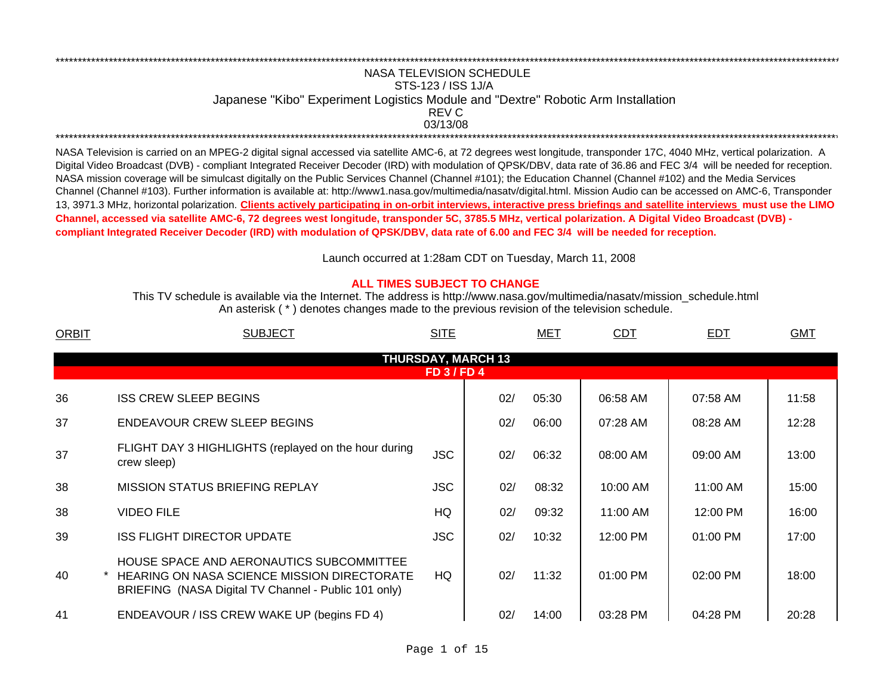## NASA TELEVISION SCHEDULESTS-123 / ISS 1J/A Japanese "Kibo" Experiment Logistics Module and "Dextre" Robotic Arm Installation 03/13/08 \*\*\*\*\*\*\*\*\*\*\*\*\*\*\*\*\*\*\*\*\*\*\*\*\*\*\*\*\*\*\*\*\*\*\*\*\*\*\*\*\*\*\*\*\*\*\*\*\*\*\*\*\*\*\*\*\*\*\*\*\*\*\*\*\*\*\*\*\*\*\*\*\*\*\*\*\*\*\*\*\*\*\*\*\*\*\*\*\*\*\*\*\*\*\*\*\*\*\*\*\*\*\*\*\*\*\*\*\*\*\*\*\*\*\*\*\*\*\*\*\*\*\*\*\*\*\*\*\*\*\*\*\*\*\*\*\*\*\*\*\*\*\*\*\*\*\*\*\*\*\*\*\*\*\*\*\*\*\*\*\*\*\*\*\*\*\*\*\*\*\*\*\*\*\*\*\*REV C

\*\*\*\*\*\*\*\*\*\*\*\*\*\*\*\*\*\*\*\*\*\*\*\*\*\*\*\*\*\*\*\*\*\*\*\*\*\*\*\*\*\*\*\*\*\*\*\*\*\*\*\*\*\*\*\*\*\*\*\*\*\*\*\*\*\*\*\*\*\*\*\*\*\*\*\*\*\*\*\*\*\*\*\*\*\*\*\*\*\*\*\*\*\*\*\*\*\*\*\*\*\*\*\*\*\*\*\*\*\*\*\*\*\*\*\*\*\*\*\*\*\*\*\*\*\*\*\*\*\*\*\*\*\*\*\*\*\*\*\*\*\*\*\*\*\*\*\*\*\*\*\*\*\*\*\*\*\*\*\*\*\*\*\*\*\*\*\*\*\*\*\*\*\*\*\*\*

NASA Television is carried on an MPEG-2 digital signal accessed via satellite AMC-6, at 72 degrees west longitude, transponder 17C, 4040 MHz, vertical polarization. A Digital Video Broadcast (DVB) - compliant Integrated Receiver Decoder (IRD) with modulation of QPSK/DBV, data rate of 36.86 and FEC 3/4 will be needed for reception. NASA mission coverage will be simulcast digitally on the Public Services Channel (Channel #101); the Education Channel (Channel #102) and the Media Services Channel (Channel #103). Further information is available at: http://www1.nasa.gov/multimedia/nasatv/digital.html. Mission Audio can be accessed on AMC-6, Transponder 13, 3971.3 MHz, horizontal polarization. **Clients actively participating in on-orbit interviews, interactive press briefings and satellite interviews must use the LIMO Channel, accessed via satellite AMC-6, 72 degrees west longitude, transponder 5C, 3785.5 MHz, vertical polarization. A Digital Video Broadcast (DVB) compliant Integrated Receiver Decoder (IRD) with modulation of QPSK/DBV, data rate of 6.00 and FEC 3/4 will be needed for reception.**

Launch occurred at 1:28am CDT on Tuesday, March 11, 200 8

## **ALL TIMES SUBJECT TO CHANGE**

An asterisk ( \* ) denotes changes made to the previous revision of the television schedule. This TV schedule is available via the Internet. The address is http://www.nasa.gov/multimedia/nasatv/mission\_schedule.html

| <b>ORBIT</b> | <b>SUBJECT</b>                                                                                                                                         | <b>SITE</b>      |                           | MET   | <b>CDT</b> | <b>EDT</b> | <b>GMT</b> |
|--------------|--------------------------------------------------------------------------------------------------------------------------------------------------------|------------------|---------------------------|-------|------------|------------|------------|
|              |                                                                                                                                                        |                  | <b>THURSDAY, MARCH 13</b> |       |            |            |            |
|              |                                                                                                                                                        | <b>FD 3/FD 4</b> |                           |       |            |            |            |
| 36           | <b>ISS CREW SLEEP BEGINS</b>                                                                                                                           |                  | 02/                       | 05:30 | 06:58 AM   | 07:58 AM   | 11:58      |
| 37           | <b>ENDEAVOUR CREW SLEEP BEGINS</b>                                                                                                                     |                  | 02/                       | 06:00 | 07:28 AM   | 08:28 AM   | 12:28      |
| 37           | FLIGHT DAY 3 HIGHLIGHTS (replayed on the hour during<br>crew sleep)                                                                                    | <b>JSC</b>       | 02/                       | 06:32 | 08:00 AM   | 09:00 AM   | 13:00      |
| 38           | <b>MISSION STATUS BRIEFING REPLAY</b>                                                                                                                  | <b>JSC</b>       | 02/                       | 08:32 | 10:00 AM   | 11:00 AM   | 15:00      |
| 38           | <b>VIDEO FILE</b>                                                                                                                                      | HQ               | 02/                       | 09:32 | 11:00 AM   | 12:00 PM   | 16:00      |
| 39           | <b>ISS FLIGHT DIRECTOR UPDATE</b>                                                                                                                      | <b>JSC</b>       | 02/                       | 10:32 | 12:00 PM   | 01:00 PM   | 17:00      |
| 40           | HOUSE SPACE AND AERONAUTICS SUBCOMMITTEE<br><b>HEARING ON NASA SCIENCE MISSION DIRECTORATE</b><br>BRIEFING (NASA Digital TV Channel - Public 101 only) | HQ.              | 02/                       | 11:32 | $01:00$ PM | 02:00 PM   | 18:00      |
| 41           | ENDEAVOUR / ISS CREW WAKE UP (begins FD 4)                                                                                                             |                  | 02/                       | 14:00 | 03:28 PM   | 04:28 PM   | 20:28      |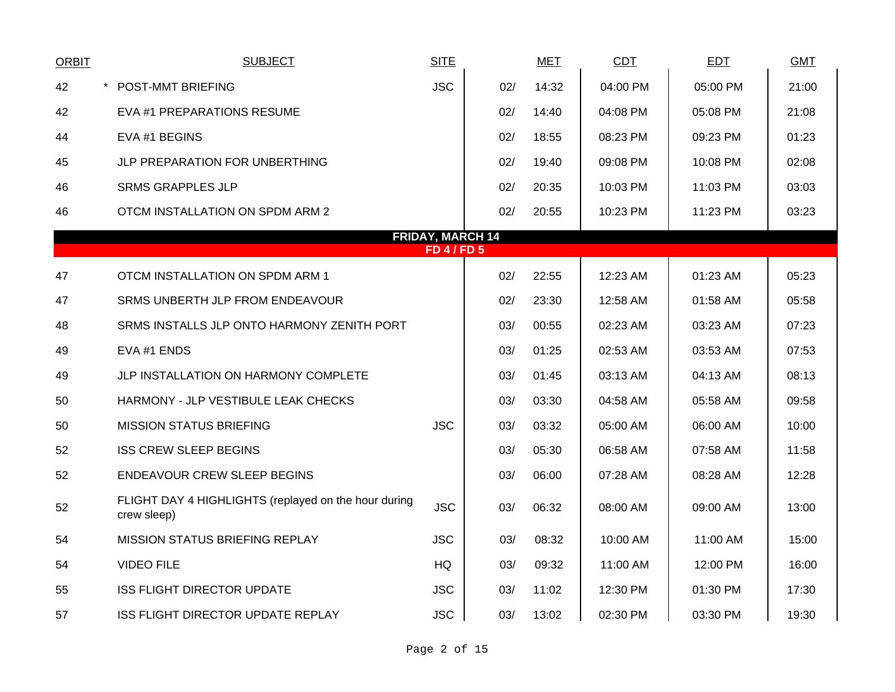| <b>ORBIT</b> | <b>SUBJECT</b>                                                      | <b>SITE</b>                                 |     | <b>MET</b> | CDT      | <b>EDT</b> | <b>GMT</b> |
|--------------|---------------------------------------------------------------------|---------------------------------------------|-----|------------|----------|------------|------------|
| 42           | $\star$<br><b>POST-MMT BRIEFING</b>                                 | <b>JSC</b>                                  | 02/ | 14:32      | 04:00 PM | 05:00 PM   | 21:00      |
| 42           | EVA #1 PREPARATIONS RESUME                                          |                                             | 02/ | 14:40      | 04:08 PM | 05:08 PM   | 21:08      |
| 44           | EVA #1 BEGINS                                                       |                                             | 02/ | 18:55      | 08:23 PM | 09:23 PM   | 01:23      |
| 45           | JLP PREPARATION FOR UNBERTHING                                      |                                             | 02/ | 19:40      | 09:08 PM | 10:08 PM   | 02:08      |
| 46           | <b>SRMS GRAPPLES JLP</b>                                            |                                             | 02/ | 20:35      | 10:03 PM | 11:03 PM   | 03:03      |
| 46           | OTCM INSTALLATION ON SPDM ARM 2                                     |                                             | 02/ | 20:55      | 10:23 PM | 11:23 PM   | 03:23      |
|              |                                                                     | <b>FRIDAY, MARCH 14</b><br><b>FD 4/FD 5</b> |     |            |          |            |            |
|              |                                                                     |                                             |     |            |          |            |            |
| 47           | OTCM INSTALLATION ON SPDM ARM 1                                     |                                             | 02/ | 22:55      | 12:23 AM | 01:23 AM   | 05:23      |
| 47           | SRMS UNBERTH JLP FROM ENDEAVOUR                                     |                                             | 02/ | 23:30      | 12:58 AM | 01:58 AM   | 05:58      |
| 48           | SRMS INSTALLS JLP ONTO HARMONY ZENITH PORT                          |                                             | 03/ | 00:55      | 02:23 AM | 03:23 AM   | 07:23      |
| 49           | EVA #1 ENDS                                                         |                                             | 03/ | 01:25      | 02:53 AM | 03:53 AM   | 07:53      |
| 49           | JLP INSTALLATION ON HARMONY COMPLETE                                |                                             | 03/ | 01:45      | 03:13 AM | 04:13 AM   | 08:13      |
| 50           | HARMONY - JLP VESTIBULE LEAK CHECKS                                 |                                             | 03/ | 03:30      | 04:58 AM | 05:58 AM   | 09:58      |
| 50           | <b>MISSION STATUS BRIEFING</b>                                      | <b>JSC</b>                                  | 03/ | 03:32      | 05:00 AM | 06:00 AM   | 10:00      |
| 52           | <b>ISS CREW SLEEP BEGINS</b>                                        |                                             | 03/ | 05:30      | 06:58 AM | 07:58 AM   | 11:58      |
| 52           | <b>ENDEAVOUR CREW SLEEP BEGINS</b>                                  |                                             | 03/ | 06:00      | 07:28 AM | 08:28 AM   | 12:28      |
| 52           | FLIGHT DAY 4 HIGHLIGHTS (replayed on the hour during<br>crew sleep) | <b>JSC</b>                                  | 03/ | 06:32      | 08:00 AM | 09:00 AM   | 13:00      |
| 54           | MISSION STATUS BRIEFING REPLAY                                      | <b>JSC</b>                                  | 03/ | 08:32      | 10:00 AM | 11:00 AM   | 15:00      |
| 54           | <b>VIDEO FILE</b>                                                   | <b>HQ</b>                                   | 03/ | 09:32      | 11:00 AM | 12:00 PM   | 16:00      |
| 55           | ISS FLIGHT DIRECTOR UPDATE                                          | <b>JSC</b>                                  | 03/ | 11:02      | 12:30 PM | 01:30 PM   | 17:30      |
| 57           | <b>ISS FLIGHT DIRECTOR UPDATE REPLAY</b>                            | <b>JSC</b>                                  | 03/ | 13:02      | 02:30 PM | 03:30 PM   | 19:30      |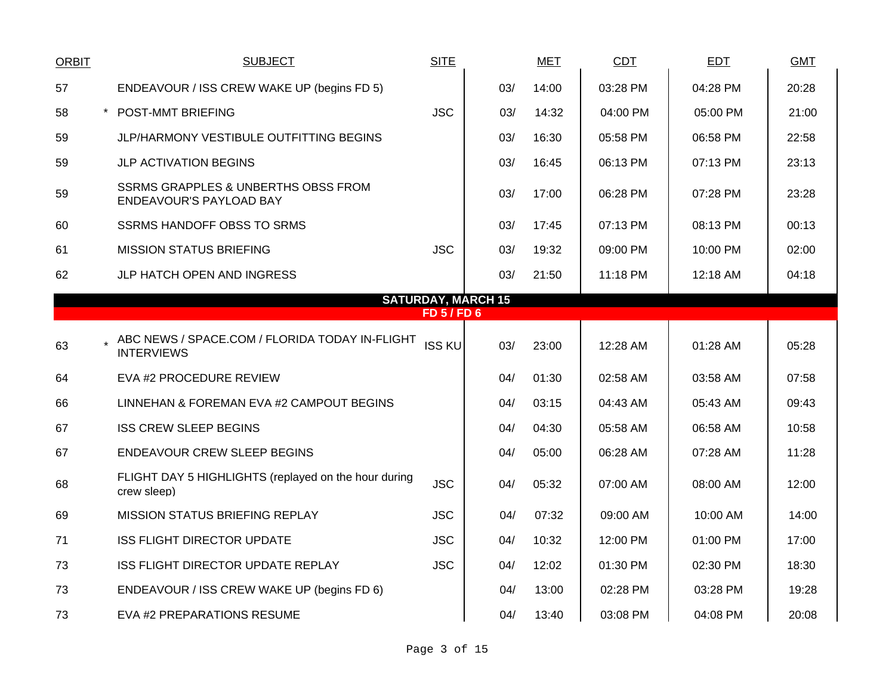| <b>ORBIT</b>                                  | <b>SUBJECT</b>                                                            | <b>SITE</b>   |     | <b>MET</b> | <b>CDT</b> | <b>EDT</b> | <b>GMT</b> |  |  |  |  |
|-----------------------------------------------|---------------------------------------------------------------------------|---------------|-----|------------|------------|------------|------------|--|--|--|--|
| 57                                            | ENDEAVOUR / ISS CREW WAKE UP (begins FD 5)                                |               | 03/ | 14:00      | 03:28 PM   | 04:28 PM   | 20:28      |  |  |  |  |
| 58                                            | * POST-MMT BRIEFING                                                       | <b>JSC</b>    | 03/ | 14:32      | 04:00 PM   | 05:00 PM   | 21:00      |  |  |  |  |
| 59                                            | <b>JLP/HARMONY VESTIBULE OUTFITTING BEGINS</b>                            |               | 03/ | 16:30      | 05:58 PM   | 06:58 PM   | 22:58      |  |  |  |  |
| 59                                            | <b>JLP ACTIVATION BEGINS</b>                                              |               | 03/ | 16:45      | 06:13 PM   | 07:13 PM   | 23:13      |  |  |  |  |
| 59                                            | <b>SSRMS GRAPPLES &amp; UNBERTHS OBSS FROM</b><br>ENDEAVOUR'S PAYLOAD BAY |               | 03/ | 17:00      | 06:28 PM   | 07:28 PM   | 23:28      |  |  |  |  |
| 60                                            | <b>SSRMS HANDOFF OBSS TO SRMS</b>                                         |               | 03/ | 17:45      | 07:13 PM   | 08:13 PM   | 00:13      |  |  |  |  |
| 61                                            | <b>MISSION STATUS BRIEFING</b>                                            | <b>JSC</b>    | 03/ | 19:32      | 09:00 PM   | 10:00 PM   | 02:00      |  |  |  |  |
| 62                                            | JLP HATCH OPEN AND INGRESS                                                |               | 03/ | 21:50      | 11:18 PM   | 12:18 AM   | 04:18      |  |  |  |  |
| <b>SATURDAY, MARCH 15</b><br><b>FD 5/FD 6</b> |                                                                           |               |     |            |            |            |            |  |  |  |  |
|                                               |                                                                           |               |     |            |            |            |            |  |  |  |  |
| 63                                            | ABC NEWS / SPACE.COM / FLORIDA TODAY IN-FLIGHT<br><b>INTERVIEWS</b>       | <b>ISS KU</b> | 03/ | 23:00      | 12:28 AM   | 01:28 AM   | 05:28      |  |  |  |  |
| 64                                            | EVA #2 PROCEDURE REVIEW                                                   |               | 04/ | 01:30      | 02:58 AM   | 03:58 AM   | 07:58      |  |  |  |  |
| 66                                            | LINNEHAN & FOREMAN EVA #2 CAMPOUT BEGINS                                  |               | 04/ | 03:15      | 04:43 AM   | 05:43 AM   | 09:43      |  |  |  |  |
| 67                                            | <b>ISS CREW SLEEP BEGINS</b>                                              |               | 04/ | 04:30      | 05:58 AM   | 06:58 AM   | 10:58      |  |  |  |  |
| 67                                            | <b>ENDEAVOUR CREW SLEEP BEGINS</b>                                        |               | 04/ | 05:00      | 06:28 AM   | 07:28 AM   | 11:28      |  |  |  |  |
| 68                                            | FLIGHT DAY 5 HIGHLIGHTS (replayed on the hour during<br>crew sleep)       | <b>JSC</b>    | 04/ | 05:32      | 07:00 AM   | 08:00 AM   | 12:00      |  |  |  |  |
| 69                                            | <b>MISSION STATUS BRIEFING REPLAY</b>                                     | <b>JSC</b>    | 04/ | 07:32      | 09:00 AM   | 10:00 AM   | 14:00      |  |  |  |  |
| 71                                            | ISS FLIGHT DIRECTOR UPDATE                                                | <b>JSC</b>    | 04/ | 10:32      | 12:00 PM   | 01:00 PM   | 17:00      |  |  |  |  |
| 73                                            | ISS FLIGHT DIRECTOR UPDATE REPLAY                                         | <b>JSC</b>    | 04/ | 12:02      | 01:30 PM   | 02:30 PM   | 18:30      |  |  |  |  |
| 73                                            | ENDEAVOUR / ISS CREW WAKE UP (begins FD 6)                                |               | 04/ | 13:00      | 02:28 PM   | 03:28 PM   | 19:28      |  |  |  |  |
| 73                                            | EVA #2 PREPARATIONS RESUME                                                |               | 04/ | 13:40      | 03:08 PM   | 04:08 PM   | 20:08      |  |  |  |  |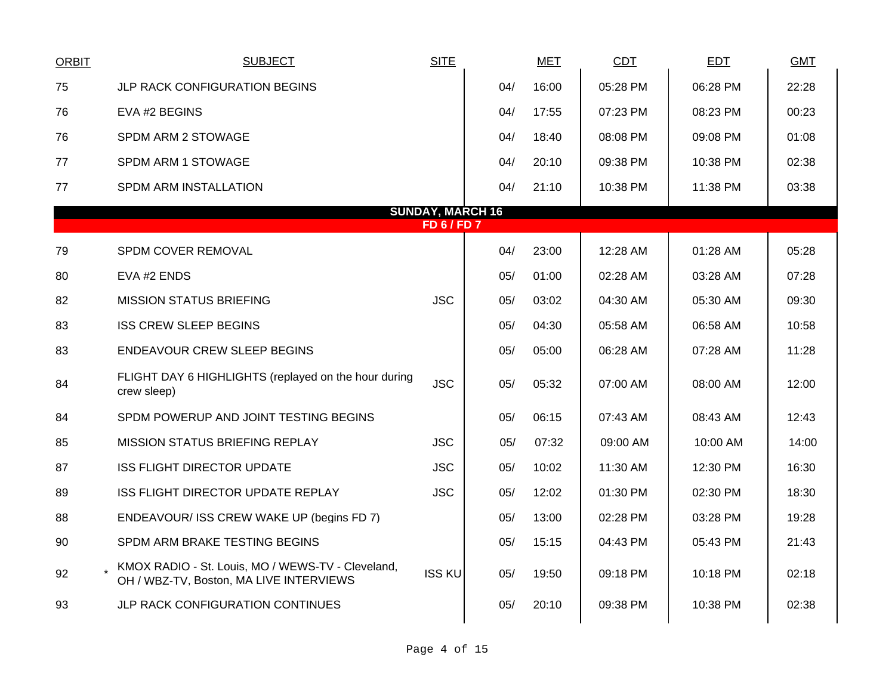| <b>ORBIT</b>                                  | <b>SUBJECT</b>                                                                               | <b>SITE</b>   |     | <b>MET</b> | <b>CDT</b> | <b>EDT</b> | <b>GMT</b> |  |  |  |  |
|-----------------------------------------------|----------------------------------------------------------------------------------------------|---------------|-----|------------|------------|------------|------------|--|--|--|--|
| 75                                            | JLP RACK CONFIGURATION BEGINS                                                                |               | 04/ | 16:00      | 05:28 PM   | 06:28 PM   | 22:28      |  |  |  |  |
| 76                                            | EVA #2 BEGINS                                                                                |               | 04/ | 17:55      | 07:23 PM   | 08:23 PM   | 00:23      |  |  |  |  |
| 76                                            | SPDM ARM 2 STOWAGE                                                                           |               | 04/ | 18:40      | 08:08 PM   | 09:08 PM   | 01:08      |  |  |  |  |
| 77                                            | SPDM ARM 1 STOWAGE                                                                           |               | 04/ | 20:10      | 09:38 PM   | 10:38 PM   | 02:38      |  |  |  |  |
| 77                                            | SPDM ARM INSTALLATION                                                                        |               | 04/ | 21:10      | 10:38 PM   | 11:38 PM   | 03:38      |  |  |  |  |
| <b>SUNDAY, MARCH 16</b><br><b>FD 6 / FD 7</b> |                                                                                              |               |     |            |            |            |            |  |  |  |  |
| 79                                            | SPDM COVER REMOVAL                                                                           |               | 04/ | 23:00      | 12:28 AM   | 01:28 AM   | 05:28      |  |  |  |  |
| 80                                            | EVA #2 ENDS                                                                                  |               | 05/ | 01:00      | 02:28 AM   | 03:28 AM   | 07:28      |  |  |  |  |
| 82                                            | <b>MISSION STATUS BRIEFING</b>                                                               | <b>JSC</b>    | 05/ | 03:02      | 04:30 AM   | 05:30 AM   | 09:30      |  |  |  |  |
| 83                                            | <b>ISS CREW SLEEP BEGINS</b>                                                                 |               | 05/ | 04:30      | 05:58 AM   | 06:58 AM   | 10:58      |  |  |  |  |
| 83                                            | <b>ENDEAVOUR CREW SLEEP BEGINS</b>                                                           |               | 05/ | 05:00      | 06:28 AM   | 07:28 AM   | 11:28      |  |  |  |  |
| 84                                            | FLIGHT DAY 6 HIGHLIGHTS (replayed on the hour during<br>crew sleep)                          | <b>JSC</b>    | 05/ | 05:32      | 07:00 AM   | 08:00 AM   | 12:00      |  |  |  |  |
| 84                                            | SPDM POWERUP AND JOINT TESTING BEGINS                                                        |               | 05/ | 06:15      | 07:43 AM   | 08:43 AM   | 12:43      |  |  |  |  |
| 85                                            | <b>MISSION STATUS BRIEFING REPLAY</b>                                                        | <b>JSC</b>    | 05/ | 07:32      | 09:00 AM   | 10:00 AM   | 14:00      |  |  |  |  |
| 87                                            | <b>ISS FLIGHT DIRECTOR UPDATE</b>                                                            | <b>JSC</b>    | 05/ | 10:02      | 11:30 AM   | 12:30 PM   | 16:30      |  |  |  |  |
| 89                                            | ISS FLIGHT DIRECTOR UPDATE REPLAY                                                            | <b>JSC</b>    | 05/ | 12:02      | 01:30 PM   | 02:30 PM   | 18:30      |  |  |  |  |
| 88                                            | ENDEAVOUR/ ISS CREW WAKE UP (begins FD 7)                                                    |               | 05/ | 13:00      | 02:28 PM   | 03:28 PM   | 19:28      |  |  |  |  |
| 90                                            | SPDM ARM BRAKE TESTING BEGINS                                                                |               | 05/ | 15:15      | 04:43 PM   | 05:43 PM   | 21:43      |  |  |  |  |
| 92                                            | KMOX RADIO - St. Louis, MO / WEWS-TV - Cleveland,<br>OH / WBZ-TV, Boston, MA LIVE INTERVIEWS | <b>ISS KU</b> | 05/ | 19:50      | 09:18 PM   | 10:18 PM   | 02:18      |  |  |  |  |
| 93                                            | JLP RACK CONFIGURATION CONTINUES                                                             |               | 05/ | 20:10      | 09:38 PM   | 10:38 PM   | 02:38      |  |  |  |  |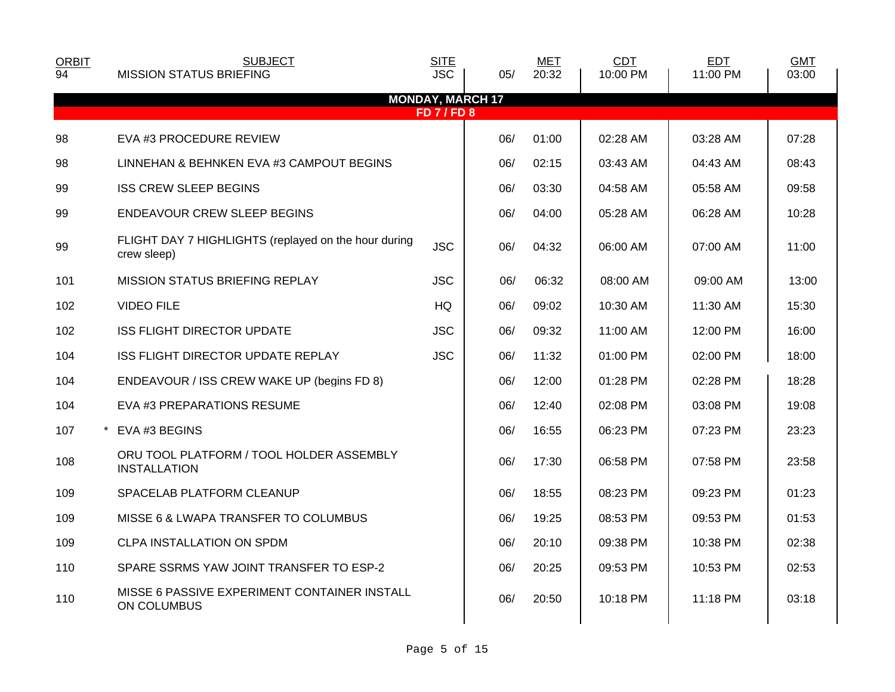| <b>ORBIT</b><br>94 | <b>SUBJECT</b><br><b>MISSION STATUS BRIEFING</b>                    | <b>SITE</b><br><b>JSC</b> | 05/                     | <b>MET</b><br>20:32 | CDT<br>10:00 PM | <b>EDT</b><br>11:00 PM | <b>GMT</b><br>03:00 |
|--------------------|---------------------------------------------------------------------|---------------------------|-------------------------|---------------------|-----------------|------------------------|---------------------|
|                    |                                                                     |                           | <b>MONDAY, MARCH 17</b> |                     |                 |                        |                     |
|                    |                                                                     | <b>FD 7 / FD 8</b>        |                         |                     |                 |                        |                     |
| 98                 | EVA #3 PROCEDURE REVIEW                                             |                           | 06/                     | 01:00               | 02:28 AM        | 03:28 AM               | 07:28               |
| 98                 | LINNEHAN & BEHNKEN EVA #3 CAMPOUT BEGINS                            |                           | 06/                     | 02:15               | 03:43 AM        | 04:43 AM               | 08:43               |
| 99                 | <b>ISS CREW SLEEP BEGINS</b>                                        |                           | 06/                     | 03:30               | 04:58 AM        | 05:58 AM               | 09:58               |
| 99                 | ENDEAVOUR CREW SLEEP BEGINS                                         |                           | 06/                     | 04:00               | 05:28 AM        | 06:28 AM               | 10:28               |
| 99                 | FLIGHT DAY 7 HIGHLIGHTS (replayed on the hour during<br>crew sleep) | <b>JSC</b>                | 06/                     | 04:32               | 06:00 AM        | 07:00 AM               | 11:00               |
| 101                | <b>MISSION STATUS BRIEFING REPLAY</b>                               | <b>JSC</b>                | 06/                     | 06:32               | 08:00 AM        | 09:00 AM               | 13:00               |
| 102                | <b>VIDEO FILE</b>                                                   | HQ                        | 06/                     | 09:02               | 10:30 AM        | 11:30 AM               | 15:30               |
| 102                | <b>ISS FLIGHT DIRECTOR UPDATE</b>                                   | <b>JSC</b>                | 06/                     | 09:32               | 11:00 AM        | 12:00 PM               | 16:00               |
| 104                | <b>ISS FLIGHT DIRECTOR UPDATE REPLAY</b>                            | <b>JSC</b>                | 06/                     | 11:32               | 01:00 PM        | 02:00 PM               | 18:00               |
| 104                | ENDEAVOUR / ISS CREW WAKE UP (begins FD 8)                          |                           | 06/                     | 12:00               | 01:28 PM        | 02:28 PM               | 18:28               |
| 104                | EVA #3 PREPARATIONS RESUME                                          |                           | 06/                     | 12:40               | 02:08 PM        | 03:08 PM               | 19:08               |
| 107                | EVA #3 BEGINS                                                       |                           | 06/                     | 16:55               | 06:23 PM        | 07:23 PM               | 23:23               |
| 108                | ORU TOOL PLATFORM / TOOL HOLDER ASSEMBLY<br><b>INSTALLATION</b>     |                           | 06/                     | 17:30               | 06:58 PM        | 07:58 PM               | 23:58               |
| 109                | SPACELAB PLATFORM CLEANUP                                           |                           | 06/                     | 18:55               | 08:23 PM        | 09:23 PM               | 01:23               |
| 109                | MISSE 6 & LWAPA TRANSFER TO COLUMBUS                                |                           | 06/                     | 19:25               | 08:53 PM        | 09:53 PM               | 01:53               |
| 109                | CLPA INSTALLATION ON SPDM                                           |                           | 06/                     | 20:10               | 09:38 PM        | 10:38 PM               | 02:38               |
| 110                | SPARE SSRMS YAW JOINT TRANSFER TO ESP-2                             |                           | 06/                     | 20:25               | 09:53 PM        | 10:53 PM               | 02:53               |
| 110                | MISSE 6 PASSIVE EXPERIMENT CONTAINER INSTALL<br>ON COLUMBUS         |                           | 06/                     | 20:50               | 10:18 PM        | 11:18 PM               | 03:18               |
|                    |                                                                     |                           |                         |                     |                 |                        |                     |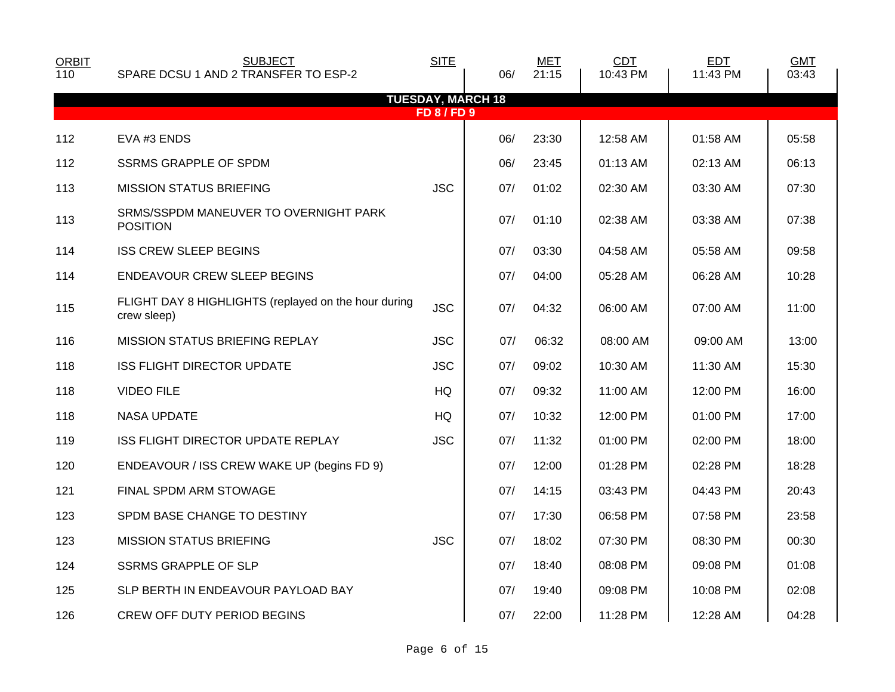| <b>ORBIT</b><br>110 | <b>SUBJECT</b><br>SPARE DCSU 1 AND 2 TRANSFER TO ESP-2              | <b>SITE</b>      | 06/                      | <b>MET</b><br>21:15 | <b>CDT</b><br>10:43 PM | <b>EDT</b><br>11:43 PM | <b>GMT</b><br>03:43 |
|---------------------|---------------------------------------------------------------------|------------------|--------------------------|---------------------|------------------------|------------------------|---------------------|
|                     |                                                                     |                  | <b>TUESDAY, MARCH 18</b> |                     |                        |                        |                     |
|                     |                                                                     | <b>FD 8/FD 9</b> |                          |                     |                        |                        |                     |
| 112                 | EVA #3 ENDS                                                         |                  | 06/                      | 23:30               | 12:58 AM               | 01:58 AM               | 05:58               |
| 112                 | <b>SSRMS GRAPPLE OF SPDM</b>                                        |                  | 06/                      | 23:45               | 01:13 AM               | 02:13 AM               | 06:13               |
| 113                 | <b>MISSION STATUS BRIEFING</b>                                      | <b>JSC</b>       | 07/                      | 01:02               | 02:30 AM               | 03:30 AM               | 07:30               |
| 113                 | SRMS/SSPDM MANEUVER TO OVERNIGHT PARK<br><b>POSITION</b>            |                  | 07/                      | 01:10               | 02:38 AM               | 03:38 AM               | 07:38               |
| 114                 | <b>ISS CREW SLEEP BEGINS</b>                                        |                  | 07/                      | 03:30               | 04:58 AM               | 05:58 AM               | 09:58               |
| 114                 | ENDEAVOUR CREW SLEEP BEGINS                                         |                  | 07/                      | 04:00               | 05:28 AM               | 06:28 AM               | 10:28               |
| 115                 | FLIGHT DAY 8 HIGHLIGHTS (replayed on the hour during<br>crew sleep) | <b>JSC</b>       | 07/                      | 04:32               | 06:00 AM               | 07:00 AM               | 11:00               |
| 116                 | <b>MISSION STATUS BRIEFING REPLAY</b>                               | <b>JSC</b>       | 07/                      | 06:32               | 08:00 AM               | 09:00 AM               | 13:00               |
| 118                 | <b>ISS FLIGHT DIRECTOR UPDATE</b>                                   | <b>JSC</b>       | 07/                      | 09:02               | 10:30 AM               | 11:30 AM               | 15:30               |
| 118                 | <b>VIDEO FILE</b>                                                   | <b>HQ</b>        | 07/                      | 09:32               | 11:00 AM               | 12:00 PM               | 16:00               |
| 118                 | <b>NASA UPDATE</b>                                                  | HQ               | 07/                      | 10:32               | 12:00 PM               | 01:00 PM               | 17:00               |
| 119                 | <b>ISS FLIGHT DIRECTOR UPDATE REPLAY</b>                            | <b>JSC</b>       | 07/                      | 11:32               | 01:00 PM               | 02:00 PM               | 18:00               |
| 120                 | ENDEAVOUR / ISS CREW WAKE UP (begins FD 9)                          |                  | 07/                      | 12:00               | 01:28 PM               | 02:28 PM               | 18:28               |
| 121                 | FINAL SPDM ARM STOWAGE                                              |                  | 07/                      | 14:15               | 03:43 PM               | 04:43 PM               | 20:43               |
| 123                 | SPDM BASE CHANGE TO DESTINY                                         |                  | 07/                      | 17:30               | 06:58 PM               | 07:58 PM               | 23:58               |
| 123                 | <b>MISSION STATUS BRIEFING</b>                                      | <b>JSC</b>       | 07/                      | 18:02               | 07:30 PM               | 08:30 PM               | 00:30               |
| 124                 | <b>SSRMS GRAPPLE OF SLP</b>                                         |                  | 07/                      | 18:40               | 08:08 PM               | 09:08 PM               | 01:08               |
| 125                 | SLP BERTH IN ENDEAVOUR PAYLOAD BAY                                  |                  | 07/                      | 19:40               | 09:08 PM               | 10:08 PM               | 02:08               |
| 126                 | <b>CREW OFF DUTY PERIOD BEGINS</b>                                  |                  | 07/                      | 22:00               | 11:28 PM               | 12:28 AM               | 04:28               |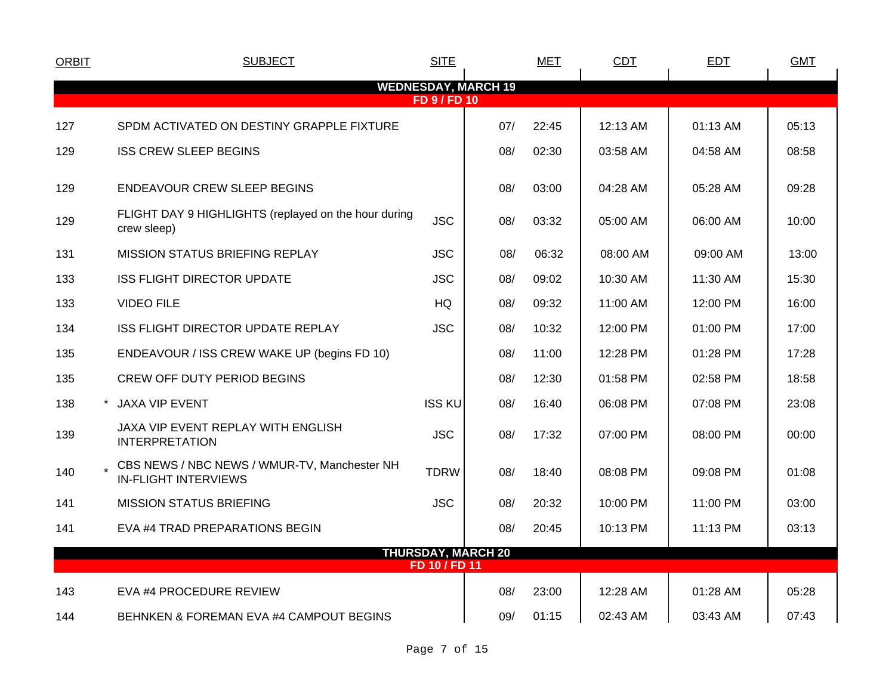| <b>ORBIT</b> | <b>SUBJECT</b>                                                              | <b>SITE</b>                                       |     | <b>MET</b> | <b>CDT</b> | <b>EDT</b> | <b>GMT</b> |
|--------------|-----------------------------------------------------------------------------|---------------------------------------------------|-----|------------|------------|------------|------------|
|              |                                                                             | <b>WEDNESDAY, MARCH 19</b><br><b>FD 9 / FD 10</b> |     |            |            |            |            |
| 127          | SPDM ACTIVATED ON DESTINY GRAPPLE FIXTURE                                   |                                                   | 07/ | 22:45      | 12:13 AM   | 01:13 AM   | 05:13      |
| 129          | <b>ISS CREW SLEEP BEGINS</b>                                                |                                                   | 08/ | 02:30      | 03:58 AM   | 04:58 AM   | 08:58      |
| 129          | <b>ENDEAVOUR CREW SLEEP BEGINS</b>                                          |                                                   | 08/ | 03:00      | 04:28 AM   | 05:28 AM   | 09:28      |
| 129          | FLIGHT DAY 9 HIGHLIGHTS (replayed on the hour during<br>crew sleep)         | <b>JSC</b>                                        | 08/ | 03:32      | 05:00 AM   | 06:00 AM   | 10:00      |
| 131          | <b>MISSION STATUS BRIEFING REPLAY</b>                                       | <b>JSC</b>                                        | 08/ | 06:32      | 08:00 AM   | 09:00 AM   | 13:00      |
| 133          | <b>ISS FLIGHT DIRECTOR UPDATE</b>                                           | <b>JSC</b>                                        | 08/ | 09:02      | 10:30 AM   | 11:30 AM   | 15:30      |
| 133          | <b>VIDEO FILE</b>                                                           | HQ                                                | 08/ | 09:32      | 11:00 AM   | 12:00 PM   | 16:00      |
| 134          | ISS FLIGHT DIRECTOR UPDATE REPLAY                                           | <b>JSC</b>                                        | 08/ | 10:32      | 12:00 PM   | 01:00 PM   | 17:00      |
| 135          | ENDEAVOUR / ISS CREW WAKE UP (begins FD 10)                                 |                                                   | 08/ | 11:00      | 12:28 PM   | 01:28 PM   | 17:28      |
| 135          | CREW OFF DUTY PERIOD BEGINS                                                 |                                                   | 08/ | 12:30      | 01:58 PM   | 02:58 PM   | 18:58      |
| 138          | * JAXA VIP EVENT                                                            | <b>ISS KU</b>                                     | 08/ | 16:40      | 06:08 PM   | 07:08 PM   | 23:08      |
| 139          | JAXA VIP EVENT REPLAY WITH ENGLISH<br><b>INTERPRETATION</b>                 | <b>JSC</b>                                        | 08/ | 17:32      | 07:00 PM   | 08:00 PM   | 00:00      |
| 140          | CBS NEWS / NBC NEWS / WMUR-TV, Manchester NH<br><b>IN-FLIGHT INTERVIEWS</b> | <b>TDRW</b>                                       | 08/ | 18:40      | 08:08 PM   | 09:08 PM   | 01:08      |
| 141          | <b>MISSION STATUS BRIEFING</b>                                              | <b>JSC</b>                                        | 08/ | 20:32      | 10:00 PM   | 11:00 PM   | 03:00      |
| 141          | EVA #4 TRAD PREPARATIONS BEGIN                                              |                                                   | 08/ | 20:45      | 10:13 PM   | 11:13 PM   | 03:13      |
|              |                                                                             | <b>THURSDAY, MARCH 20</b><br>FD 10 / FD 11        |     |            |            |            |            |
| 143          | EVA #4 PROCEDURE REVIEW                                                     |                                                   | 08/ | 23:00      | 12:28 AM   | 01:28 AM   | 05:28      |
|              |                                                                             |                                                   |     |            |            |            |            |
| 144          | BEHNKEN & FOREMAN EVA #4 CAMPOUT BEGINS                                     |                                                   | 09/ | 01:15      | 02:43 AM   | 03:43 AM   | 07:43      |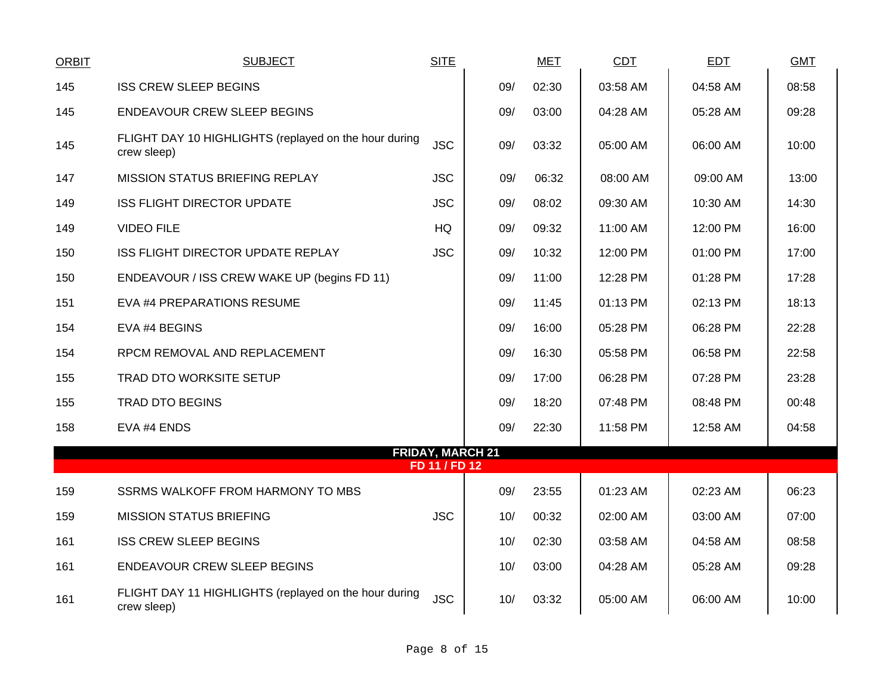| <b>ORBIT</b> | <b>SUBJECT</b>                                                       | <b>SITE</b>             |     | <b>MET</b> | CDT      | <b>EDT</b> | <b>GMT</b> |
|--------------|----------------------------------------------------------------------|-------------------------|-----|------------|----------|------------|------------|
| 145          | <b>ISS CREW SLEEP BEGINS</b>                                         |                         | 09/ | 02:30      | 03:58 AM | 04:58 AM   | 08:58      |
| 145          | <b>ENDEAVOUR CREW SLEEP BEGINS</b>                                   |                         | 09/ | 03:00      | 04:28 AM | 05:28 AM   | 09:28      |
| 145          | FLIGHT DAY 10 HIGHLIGHTS (replayed on the hour during<br>crew sleep) | <b>JSC</b>              | 09/ | 03:32      | 05:00 AM | 06:00 AM   | 10:00      |
| 147          | <b>MISSION STATUS BRIEFING REPLAY</b>                                | <b>JSC</b>              | 09/ | 06:32      | 08:00 AM | 09:00 AM   | 13:00      |
| 149          | <b>ISS FLIGHT DIRECTOR UPDATE</b>                                    | <b>JSC</b>              | 09/ | 08:02      | 09:30 AM | 10:30 AM   | 14:30      |
| 149          | <b>VIDEO FILE</b>                                                    | <b>HQ</b>               | 09/ | 09:32      | 11:00 AM | 12:00 PM   | 16:00      |
| 150          | ISS FLIGHT DIRECTOR UPDATE REPLAY                                    | <b>JSC</b>              | 09/ | 10:32      | 12:00 PM | 01:00 PM   | 17:00      |
| 150          | ENDEAVOUR / ISS CREW WAKE UP (begins FD 11)                          |                         | 09/ | 11:00      | 12:28 PM | 01:28 PM   | 17:28      |
| 151          | EVA #4 PREPARATIONS RESUME                                           |                         | 09/ | 11:45      | 01:13 PM | 02:13 PM   | 18:13      |
| 154          | EVA #4 BEGINS                                                        |                         | 09/ | 16:00      | 05:28 PM | 06:28 PM   | 22:28      |
| 154          | RPCM REMOVAL AND REPLACEMENT                                         |                         | 09/ | 16:30      | 05:58 PM | 06:58 PM   | 22:58      |
| 155          | TRAD DTO WORKSITE SETUP                                              |                         | 09/ | 17:00      | 06:28 PM | 07:28 PM   | 23:28      |
| 155          | <b>TRAD DTO BEGINS</b>                                               |                         | 09/ | 18:20      | 07:48 PM | 08:48 PM   | 00:48      |
| 158          | EVA #4 ENDS                                                          |                         | 09/ | 22:30      | 11:58 PM | 12:58 AM   | 04:58      |
|              |                                                                      | <b>FRIDAY, MARCH 21</b> |     |            |          |            |            |
|              |                                                                      | FD 11 / FD 12           |     |            |          |            |            |
| 159          | SSRMS WALKOFF FROM HARMONY TO MBS                                    |                         | 09/ | 23:55      | 01:23 AM | 02:23 AM   | 06:23      |
| 159          | <b>MISSION STATUS BRIEFING</b>                                       | <b>JSC</b>              | 10/ | 00:32      | 02:00 AM | 03:00 AM   | 07:00      |
| 161          | <b>ISS CREW SLEEP BEGINS</b>                                         |                         | 10/ | 02:30      | 03:58 AM | 04:58 AM   | 08:58      |
| 161          | ENDEAVOUR CREW SLEEP BEGINS                                          |                         | 10/ | 03:00      | 04:28 AM | 05:28 AM   | 09:28      |
| 161          | FLIGHT DAY 11 HIGHLIGHTS (replayed on the hour during<br>crew sleep) | <b>JSC</b>              | 10/ | 03:32      | 05:00 AM | 06:00 AM   | 10:00      |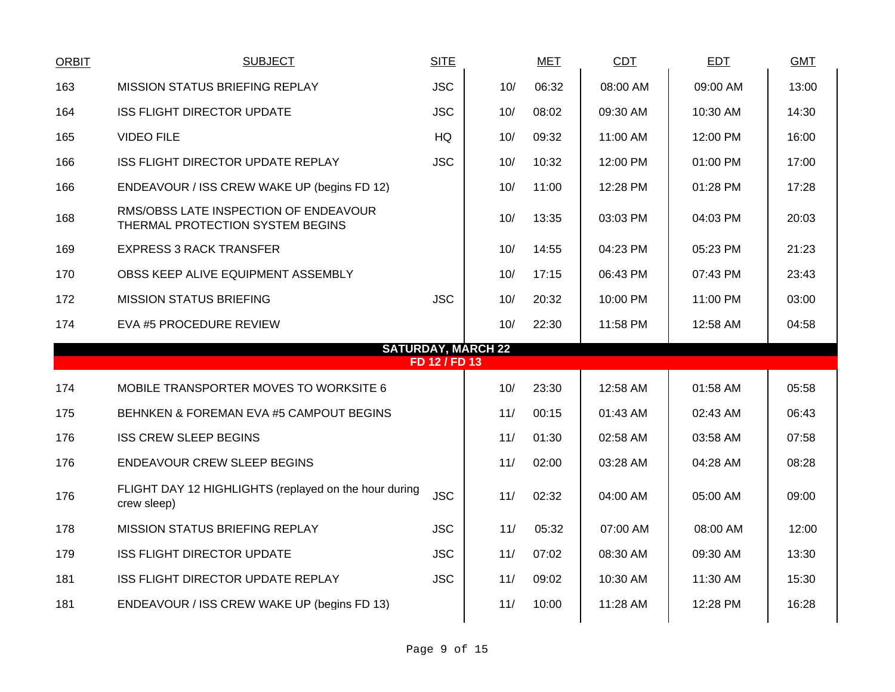| <b>ORBIT</b> | <b>SUBJECT</b>                                                            | <b>SITE</b>   |                           | <b>MET</b> | <b>CDT</b> | <b>EDT</b> | <b>GMT</b> |
|--------------|---------------------------------------------------------------------------|---------------|---------------------------|------------|------------|------------|------------|
| 163          | <b>MISSION STATUS BRIEFING REPLAY</b>                                     | <b>JSC</b>    | 10/                       | 06:32      | 08:00 AM   | 09:00 AM   | 13:00      |
| 164          | <b>ISS FLIGHT DIRECTOR UPDATE</b>                                         | <b>JSC</b>    | 10/                       | 08:02      | 09:30 AM   | 10:30 AM   | 14:30      |
| 165          | <b>VIDEO FILE</b>                                                         | HQ            | 10/                       | 09:32      | 11:00 AM   | 12:00 PM   | 16:00      |
| 166          | ISS FLIGHT DIRECTOR UPDATE REPLAY                                         | <b>JSC</b>    | 10/                       | 10:32      | 12:00 PM   | 01:00 PM   | 17:00      |
| 166          | ENDEAVOUR / ISS CREW WAKE UP (begins FD 12)                               |               | 10/                       | 11:00      | 12:28 PM   | 01:28 PM   | 17:28      |
| 168          | RMS/OBSS LATE INSPECTION OF ENDEAVOUR<br>THERMAL PROTECTION SYSTEM BEGINS |               | 10/                       | 13:35      | 03:03 PM   | 04:03 PM   | 20:03      |
| 169          | <b>EXPRESS 3 RACK TRANSFER</b>                                            |               | 10/                       | 14:55      | 04:23 PM   | 05:23 PM   | 21:23      |
| 170          | OBSS KEEP ALIVE EQUIPMENT ASSEMBLY                                        |               | 10/                       | 17:15      | 06:43 PM   | 07:43 PM   | 23:43      |
| 172          | <b>MISSION STATUS BRIEFING</b>                                            | <b>JSC</b>    | 10/                       | 20:32      | 10:00 PM   | 11:00 PM   | 03:00      |
| 174          | EVA #5 PROCEDURE REVIEW                                                   |               | 10/                       | 22:30      | 11:58 PM   | 12:58 AM   | 04:58      |
|              |                                                                           | FD 12 / FD 13 | <b>SATURDAY, MARCH 22</b> |            |            |            |            |
| 174          | MOBILE TRANSPORTER MOVES TO WORKSITE 6                                    |               | 10/                       | 23:30      | 12:58 AM   | 01:58 AM   | 05:58      |
|              |                                                                           |               |                           |            |            |            |            |
| 175          | BEHNKEN & FOREMAN EVA #5 CAMPOUT BEGINS                                   |               | 11/                       | 00:15      | 01:43 AM   | 02:43 AM   | 06:43      |
| 176          | <b>ISS CREW SLEEP BEGINS</b>                                              |               | 11/                       | 01:30      | 02:58 AM   | 03:58 AM   | 07:58      |
| 176          | ENDEAVOUR CREW SLEEP BEGINS                                               |               | 11/                       | 02:00      | 03:28 AM   | 04:28 AM   | 08:28      |
|              |                                                                           |               |                           |            |            |            |            |
| 176          | FLIGHT DAY 12 HIGHLIGHTS (replayed on the hour during<br>crew sleep)      | <b>JSC</b>    | 11/                       | 02:32      | 04:00 AM   | 05:00 AM   | 09:00      |
| 178          | <b>MISSION STATUS BRIEFING REPLAY</b>                                     | <b>JSC</b>    | 11/                       | 05:32      | 07:00 AM   | 08:00 AM   | 12:00      |
| 179          | <b>ISS FLIGHT DIRECTOR UPDATE</b>                                         | <b>JSC</b>    | 11/                       | 07:02      | 08:30 AM   | 09:30 AM   | 13:30      |
| 181          | ISS FLIGHT DIRECTOR UPDATE REPLAY                                         | <b>JSC</b>    | 11/                       | 09:02      | 10:30 AM   | 11:30 AM   | 15:30      |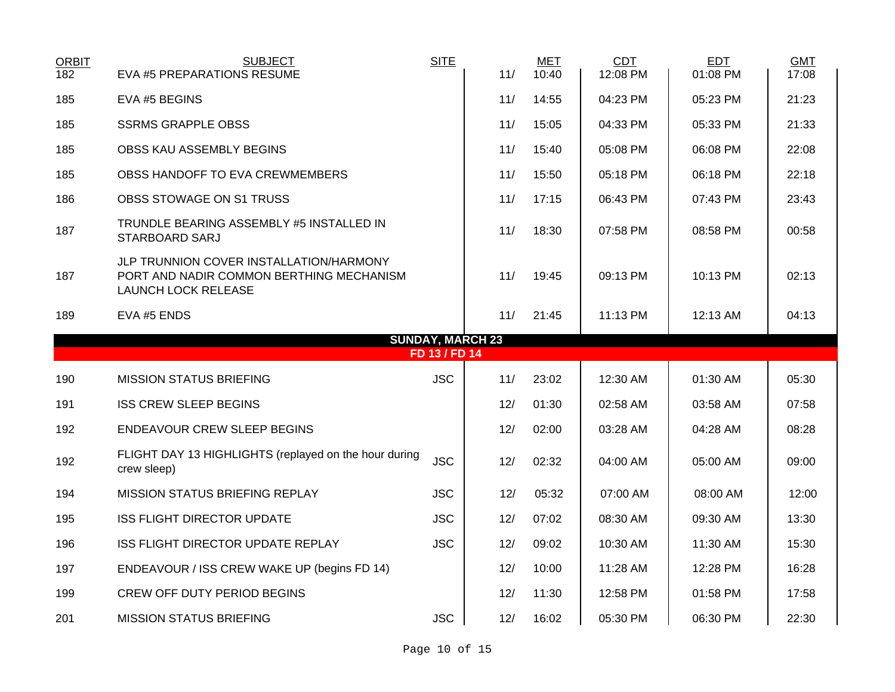| <b>ORBIT</b><br>182 | <b>SUBJECT</b><br>EVA #5 PREPARATIONS RESUME                                                                      | <b>SITE</b>   | 11/                     | <b>MET</b><br>10:40 | <b>CDT</b><br>12:08 PM | <b>EDT</b><br>01:08 PM | <b>GMT</b><br>17:08 |
|---------------------|-------------------------------------------------------------------------------------------------------------------|---------------|-------------------------|---------------------|------------------------|------------------------|---------------------|
|                     |                                                                                                                   |               |                         |                     |                        |                        |                     |
| 185                 | EVA #5 BEGINS                                                                                                     |               | 11/                     | 14:55               | 04:23 PM               | 05:23 PM               | 21:23               |
| 185                 | <b>SSRMS GRAPPLE OBSS</b>                                                                                         |               | 11/                     | 15:05               | 04:33 PM               | 05:33 PM               | 21:33               |
| 185                 | OBSS KAU ASSEMBLY BEGINS                                                                                          |               | 11/                     | 15:40               | 05:08 PM               | 06:08 PM               | 22:08               |
| 185                 | OBSS HANDOFF TO EVA CREWMEMBERS                                                                                   |               | 11/                     | 15:50               | 05:18 PM               | 06:18 PM               | 22:18               |
| 186                 | OBSS STOWAGE ON S1 TRUSS                                                                                          |               | 11/                     | 17:15               | 06:43 PM               | 07:43 PM               | 23:43               |
| 187                 | TRUNDLE BEARING ASSEMBLY #5 INSTALLED IN<br>STARBOARD SARJ                                                        |               | 11/                     | 18:30               | 07:58 PM               | 08:58 PM               | 00:58               |
| 187                 | JLP TRUNNION COVER INSTALLATION/HARMONY<br>PORT AND NADIR COMMON BERTHING MECHANISM<br><b>LAUNCH LOCK RELEASE</b> |               | 11/                     | 19:45               | 09:13 PM               | 10:13 PM               | 02:13               |
| 189                 | EVA #5 ENDS                                                                                                       |               | 11/                     | 21:45               | 11:13 PM               | 12:13 AM               | 04:13               |
|                     |                                                                                                                   |               | <b>SUNDAY, MARCH 23</b> |                     |                        |                        |                     |
|                     |                                                                                                                   | FD 13 / FD 14 |                         |                     |                        |                        |                     |
| 190                 | <b>MISSION STATUS BRIEFING</b>                                                                                    | <b>JSC</b>    | 11/                     | 23:02               | 12:30 AM               | 01:30 AM               | 05:30               |
| 191                 | <b>ISS CREW SLEEP BEGINS</b>                                                                                      |               | 12/                     | 01:30               | 02:58 AM               | 03:58 AM               | 07:58               |
| 192                 | <b>ENDEAVOUR CREW SLEEP BEGINS</b>                                                                                |               | 12/                     | 02:00               | 03:28 AM               | 04:28 AM               | 08:28               |
| 192                 | FLIGHT DAY 13 HIGHLIGHTS (replayed on the hour during<br>crew sleep)                                              | <b>JSC</b>    | 12/                     | 02:32               | 04:00 AM               | 05:00 AM               | 09:00               |
| 194                 | MISSION STATUS BRIEFING REPLAY                                                                                    | <b>JSC</b>    | 12/                     | 05:32               | 07:00 AM               | 08:00 AM               | 12:00               |
| 195                 | <b>ISS FLIGHT DIRECTOR UPDATE</b>                                                                                 | <b>JSC</b>    | 12/                     | 07:02               | 08:30 AM               | 09:30 AM               | 13:30               |
| 196                 | ISS FLIGHT DIRECTOR UPDATE REPLAY                                                                                 | <b>JSC</b>    | 12/                     | 09:02               | 10:30 AM               | 11:30 AM               | 15:30               |
| 197                 | ENDEAVOUR / ISS CREW WAKE UP (begins FD 14)                                                                       |               | 12/                     | 10:00               | 11:28 AM               | 12:28 PM               | 16:28               |
| 199                 | CREW OFF DUTY PERIOD BEGINS                                                                                       |               | 12/                     | 11:30               | 12:58 PM               | 01:58 PM               | 17:58               |
| 201                 | <b>MISSION STATUS BRIEFING</b>                                                                                    | <b>JSC</b>    | 12/                     | 16:02               | 05:30 PM               | 06:30 PM               | 22:30               |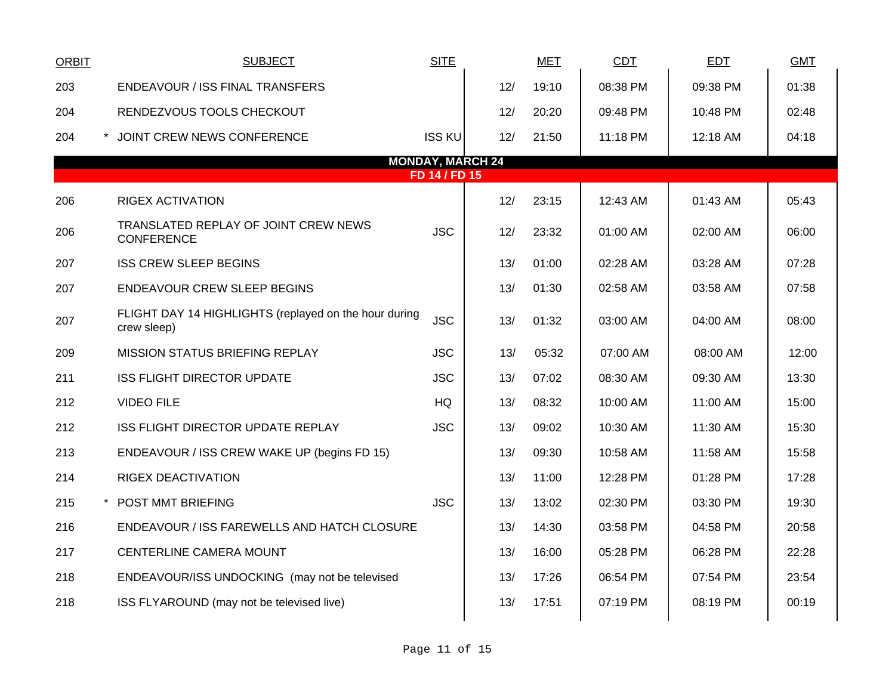| <b>ORBIT</b> | <b>SUBJECT</b>                                                       | <b>SITE</b>             |     | <b>MET</b> | CDT      | <b>EDT</b> | <b>GMT</b> |
|--------------|----------------------------------------------------------------------|-------------------------|-----|------------|----------|------------|------------|
| 203          | <b>ENDEAVOUR / ISS FINAL TRANSFERS</b>                               |                         | 12/ | 19:10      | 08:38 PM | 09:38 PM   | 01:38      |
| 204          | RENDEZVOUS TOOLS CHECKOUT                                            |                         | 12/ | 20:20      | 09:48 PM | 10:48 PM   | 02:48      |
| 204          | * JOINT CREW NEWS CONFERENCE                                         | <b>ISS KU</b>           | 12/ | 21:50      | 11:18 PM | 12:18 AM   | 04:18      |
|              |                                                                      | <b>MONDAY, MARCH 24</b> |     |            |          |            |            |
|              |                                                                      | FD 14 / FD 15           |     |            |          |            |            |
| 206          | <b>RIGEX ACTIVATION</b>                                              |                         | 12/ | 23:15      | 12:43 AM | 01:43 AM   | 05:43      |
| 206          | TRANSLATED REPLAY OF JOINT CREW NEWS<br><b>CONFERENCE</b>            | <b>JSC</b>              | 12/ | 23:32      | 01:00 AM | 02:00 AM   | 06:00      |
| 207          | <b>ISS CREW SLEEP BEGINS</b>                                         |                         | 13/ | 01:00      | 02:28 AM | 03:28 AM   | 07:28      |
| 207          | <b>ENDEAVOUR CREW SLEEP BEGINS</b>                                   |                         | 13/ | 01:30      | 02:58 AM | 03:58 AM   | 07:58      |
| 207          | FLIGHT DAY 14 HIGHLIGHTS (replayed on the hour during<br>crew sleep) | <b>JSC</b>              | 13/ | 01:32      | 03:00 AM | 04:00 AM   | 08:00      |
| 209          | MISSION STATUS BRIEFING REPLAY                                       | <b>JSC</b>              | 13/ | 05:32      | 07:00 AM | 08:00 AM   | 12:00      |
| 211          | <b>ISS FLIGHT DIRECTOR UPDATE</b>                                    | <b>JSC</b>              | 13/ | 07:02      | 08:30 AM | 09:30 AM   | 13:30      |
| 212          | <b>VIDEO FILE</b>                                                    | <b>HQ</b>               | 13/ | 08:32      | 10:00 AM | 11:00 AM   | 15:00      |
| 212          | ISS FLIGHT DIRECTOR UPDATE REPLAY                                    | <b>JSC</b>              | 13/ | 09:02      | 10:30 AM | 11:30 AM   | 15:30      |
| 213          | ENDEAVOUR / ISS CREW WAKE UP (begins FD 15)                          |                         | 13/ | 09:30      | 10:58 AM | 11:58 AM   | 15:58      |
| 214          | <b>RIGEX DEACTIVATION</b>                                            |                         | 13/ | 11:00      | 12:28 PM | 01:28 PM   | 17:28      |
| 215          | * POST MMT BRIEFING                                                  | <b>JSC</b>              | 13/ | 13:02      | 02:30 PM | 03:30 PM   | 19:30      |
| 216          | ENDEAVOUR / ISS FAREWELLS AND HATCH CLOSURE                          |                         | 13/ | 14:30      | 03:58 PM | 04:58 PM   | 20:58      |
| 217          | CENTERLINE CAMERA MOUNT                                              |                         | 13/ | 16:00      | 05:28 PM | 06:28 PM   | 22:28      |
| 218          | ENDEAVOUR/ISS UNDOCKING (may not be televised                        |                         | 13/ | 17:26      | 06:54 PM | 07:54 PM   | 23:54      |
| 218          | ISS FLYAROUND (may not be televised live)                            |                         | 13/ | 17:51      | 07:19 PM | 08:19 PM   | 00:19      |
|              |                                                                      |                         |     |            |          |            |            |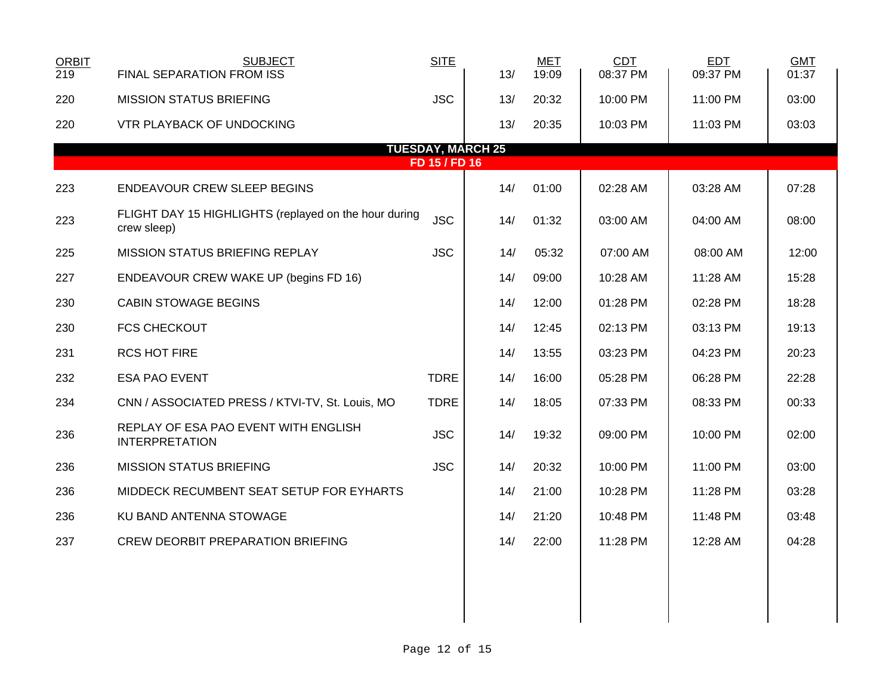| 219 | FINAL SEPARATION FROM ISS                                            | <b>SITE</b>   | 13/                      | <b>MET</b><br>19:09 | <b>CDT</b><br>08:37 PM | <b>EDT</b><br>09:37 PM | <b>GMT</b><br>01:37 |
|-----|----------------------------------------------------------------------|---------------|--------------------------|---------------------|------------------------|------------------------|---------------------|
| 220 | <b>MISSION STATUS BRIEFING</b>                                       | <b>JSC</b>    | 13/                      | 20:32               | 10:00 PM               | 11:00 PM               | 03:00               |
| 220 | <b>VTR PLAYBACK OF UNDOCKING</b>                                     |               | 13/                      | 20:35               | 10:03 PM               | 11:03 PM               | 03:03               |
|     |                                                                      |               | <b>TUESDAY, MARCH 25</b> |                     |                        |                        |                     |
|     |                                                                      | FD 15 / FD 16 |                          |                     |                        |                        |                     |
| 223 | <b>ENDEAVOUR CREW SLEEP BEGINS</b>                                   |               | 14/                      | 01:00               | 02:28 AM               | 03:28 AM               | 07:28               |
| 223 | FLIGHT DAY 15 HIGHLIGHTS (replayed on the hour during<br>crew sleep) | <b>JSC</b>    | 14/                      | 01:32               | 03:00 AM               | 04:00 AM               | 08:00               |
| 225 | MISSION STATUS BRIEFING REPLAY                                       | <b>JSC</b>    | 14/                      | 05:32               | 07:00 AM               | 08:00 AM               | 12:00               |
| 227 | ENDEAVOUR CREW WAKE UP (begins FD 16)                                |               | 14/                      | 09:00               | 10:28 AM               | 11:28 AM               | 15:28               |
| 230 | <b>CABIN STOWAGE BEGINS</b>                                          |               | 14/                      | 12:00               | 01:28 PM               | 02:28 PM               | 18:28               |
| 230 | <b>FCS CHECKOUT</b>                                                  |               | 14/                      | 12:45               | 02:13 PM               | 03:13 PM               | 19:13               |
| 231 | <b>RCS HOT FIRE</b>                                                  |               | 14/                      | 13:55               | 03:23 PM               | 04:23 PM               | 20:23               |
| 232 | <b>ESA PAO EVENT</b>                                                 | <b>TDRE</b>   | 14/                      | 16:00               | 05:28 PM               | 06:28 PM               | 22:28               |
| 234 | CNN / ASSOCIATED PRESS / KTVI-TV, St. Louis, MO                      | <b>TDRE</b>   | 14/                      | 18:05               | 07:33 PM               | 08:33 PM               | 00:33               |
| 236 | REPLAY OF ESA PAO EVENT WITH ENGLISH<br><b>INTERPRETATION</b>        | <b>JSC</b>    | 14/                      | 19:32               | 09:00 PM               | 10:00 PM               | 02:00               |
| 236 | <b>MISSION STATUS BRIEFING</b>                                       | <b>JSC</b>    | 14/                      | 20:32               | 10:00 PM               | 11:00 PM               | 03:00               |
| 236 | MIDDECK RECUMBENT SEAT SETUP FOR EYHARTS                             |               | 14/                      | 21:00               | 10:28 PM               | 11:28 PM               | 03:28               |
| 236 | KU BAND ANTENNA STOWAGE                                              |               | 14/                      | 21:20               | 10:48 PM               | 11:48 PM               | 03:48               |
| 237 | <b>CREW DEORBIT PREPARATION BRIEFING</b>                             |               | 14/                      | 22:00               | 11:28 PM               | 12:28 AM               | 04:28               |
|     |                                                                      |               |                          |                     |                        |                        |                     |
|     |                                                                      |               |                          |                     |                        |                        |                     |
|     |                                                                      |               |                          |                     |                        |                        |                     |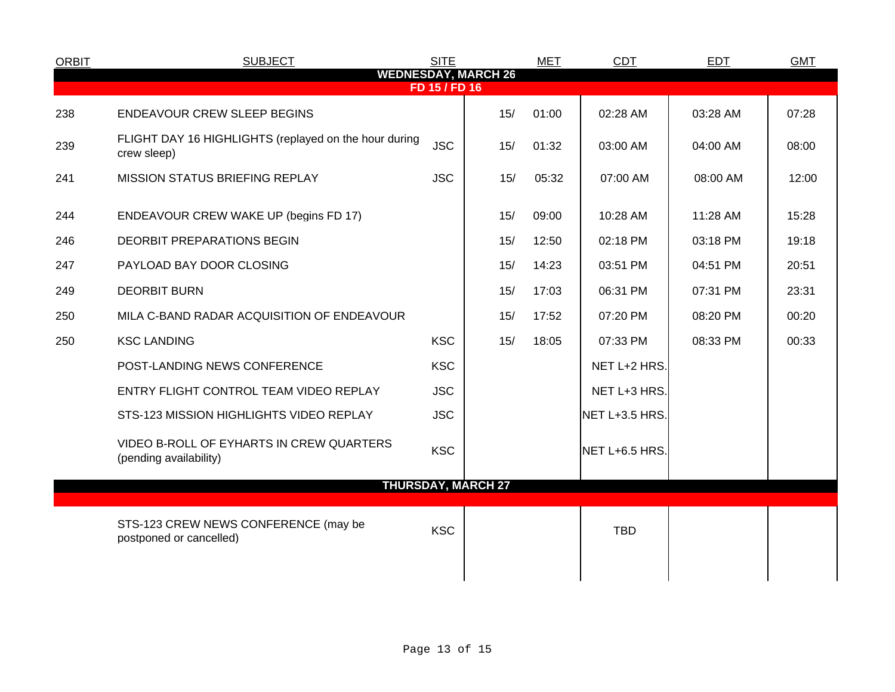| <b>ORBIT</b>                                | <b>SUBJECT</b>                                                       | <b>SITE</b> |     | <b>MET</b> | <b>CDT</b>     | <b>EDT</b> | <b>GMT</b> |  |
|---------------------------------------------|----------------------------------------------------------------------|-------------|-----|------------|----------------|------------|------------|--|
| <b>WEDNESDAY, MARCH 26</b><br>FD 15 / FD 16 |                                                                      |             |     |            |                |            |            |  |
| 238                                         | <b>ENDEAVOUR CREW SLEEP BEGINS</b>                                   |             | 15/ | 01:00      | 02:28 AM       | 03:28 AM   | 07:28      |  |
| 239                                         | FLIGHT DAY 16 HIGHLIGHTS (replayed on the hour during<br>crew sleep) | <b>JSC</b>  | 15/ | 01:32      | 03:00 AM       | 04:00 AM   | 08:00      |  |
| 241                                         | <b>MISSION STATUS BRIEFING REPLAY</b>                                | <b>JSC</b>  | 15/ | 05:32      | 07:00 AM       | 08:00 AM   | 12:00      |  |
| 244                                         | ENDEAVOUR CREW WAKE UP (begins FD 17)                                |             | 15/ | 09:00      | 10:28 AM       | 11:28 AM   | 15:28      |  |
| 246                                         | <b>DEORBIT PREPARATIONS BEGIN</b>                                    |             | 15/ | 12:50      | 02:18 PM       | 03:18 PM   | 19:18      |  |
| 247                                         | PAYLOAD BAY DOOR CLOSING                                             |             | 15/ | 14:23      | 03:51 PM       | 04:51 PM   | 20:51      |  |
| 249                                         | <b>DEORBIT BURN</b>                                                  |             | 15/ | 17:03      | 06:31 PM       | 07:31 PM   | 23:31      |  |
| 250                                         | MILA C-BAND RADAR ACQUISITION OF ENDEAVOUR                           |             | 15/ | 17:52      | 07:20 PM       | 08:20 PM   | 00:20      |  |
| 250                                         | <b>KSC LANDING</b>                                                   | <b>KSC</b>  | 15/ | 18:05      | 07:33 PM       | 08:33 PM   | 00:33      |  |
|                                             | POST-LANDING NEWS CONFERENCE                                         | <b>KSC</b>  |     |            | NET L+2 HRS.   |            |            |  |
|                                             | ENTRY FLIGHT CONTROL TEAM VIDEO REPLAY                               | <b>JSC</b>  |     |            | NET L+3 HRS.   |            |            |  |
|                                             | STS-123 MISSION HIGHLIGHTS VIDEO REPLAY                              | <b>JSC</b>  |     |            | NET L+3.5 HRS. |            |            |  |
|                                             | VIDEO B-ROLL OF EYHARTS IN CREW QUARTERS<br>(pending availability)   | <b>KSC</b>  |     |            | NET L+6.5 HRS. |            |            |  |
| <b>THURSDAY, MARCH 27</b>                   |                                                                      |             |     |            |                |            |            |  |
|                                             | STS-123 CREW NEWS CONFERENCE (may be<br>postponed or cancelled)      | <b>KSC</b>  |     |            | <b>TBD</b>     |            |            |  |
|                                             |                                                                      |             |     |            |                |            |            |  |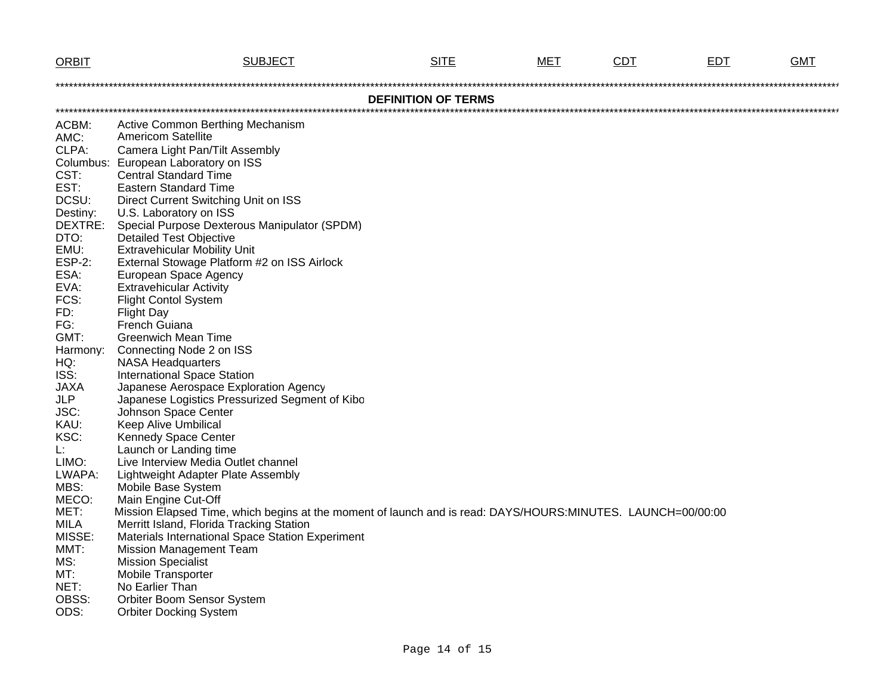| <b>ORBIT</b>               | <b>SUBJECT</b>                                                                                              | <b>SITE</b> | MET | <b>CDT</b> | <b>EDT</b> | <b>GMT</b> |  |  |  |
|----------------------------|-------------------------------------------------------------------------------------------------------------|-------------|-----|------------|------------|------------|--|--|--|
|                            |                                                                                                             |             |     |            |            |            |  |  |  |
| <b>DEFINITION OF TERMS</b> |                                                                                                             |             |     |            |            |            |  |  |  |
|                            |                                                                                                             |             |     |            |            |            |  |  |  |
| ACBM:                      | Active Common Berthing Mechanism                                                                            |             |     |            |            |            |  |  |  |
| AMC:                       | <b>Americom Satellite</b>                                                                                   |             |     |            |            |            |  |  |  |
| CLPA:                      | Camera Light Pan/Tilt Assembly                                                                              |             |     |            |            |            |  |  |  |
|                            | Columbus: European Laboratory on ISS                                                                        |             |     |            |            |            |  |  |  |
| CST:                       | <b>Central Standard Time</b>                                                                                |             |     |            |            |            |  |  |  |
| EST:                       | <b>Eastern Standard Time</b>                                                                                |             |     |            |            |            |  |  |  |
| DCSU:                      | Direct Current Switching Unit on ISS                                                                        |             |     |            |            |            |  |  |  |
| Destiny:                   | U.S. Laboratory on ISS                                                                                      |             |     |            |            |            |  |  |  |
| DEXTRE:                    | Special Purpose Dexterous Manipulator (SPDM)                                                                |             |     |            |            |            |  |  |  |
| DTO:                       | <b>Detailed Test Objective</b>                                                                              |             |     |            |            |            |  |  |  |
| EMU:<br><b>ESP-2:</b>      | <b>Extravehicular Mobility Unit</b>                                                                         |             |     |            |            |            |  |  |  |
| ESA:                       | External Stowage Platform #2 on ISS Airlock<br>European Space Agency                                        |             |     |            |            |            |  |  |  |
| EVA:                       | <b>Extravehicular Activity</b>                                                                              |             |     |            |            |            |  |  |  |
| FCS:                       | <b>Flight Contol System</b>                                                                                 |             |     |            |            |            |  |  |  |
| FD:                        | <b>Flight Day</b>                                                                                           |             |     |            |            |            |  |  |  |
| FG:                        | French Guiana                                                                                               |             |     |            |            |            |  |  |  |
| GMT:                       | <b>Greenwich Mean Time</b>                                                                                  |             |     |            |            |            |  |  |  |
| Harmony:                   | Connecting Node 2 on ISS                                                                                    |             |     |            |            |            |  |  |  |
| HQ:                        | <b>NASA Headquarters</b>                                                                                    |             |     |            |            |            |  |  |  |
| ISS:                       | <b>International Space Station</b>                                                                          |             |     |            |            |            |  |  |  |
| <b>JAXA</b>                | Japanese Aerospace Exploration Agency                                                                       |             |     |            |            |            |  |  |  |
| <b>JLP</b>                 | Japanese Logistics Pressurized Segment of Kibo                                                              |             |     |            |            |            |  |  |  |
| JSC:                       | Johnson Space Center                                                                                        |             |     |            |            |            |  |  |  |
| KAU:                       | <b>Keep Alive Umbilical</b>                                                                                 |             |     |            |            |            |  |  |  |
| KSC:                       | Kennedy Space Center                                                                                        |             |     |            |            |            |  |  |  |
| L:                         | Launch or Landing time                                                                                      |             |     |            |            |            |  |  |  |
| LIMO:                      | Live Interview Media Outlet channel                                                                         |             |     |            |            |            |  |  |  |
| LWAPA:                     | Lightweight Adapter Plate Assembly                                                                          |             |     |            |            |            |  |  |  |
| MBS:                       | Mobile Base System                                                                                          |             |     |            |            |            |  |  |  |
| MECO:                      | Main Engine Cut-Off                                                                                         |             |     |            |            |            |  |  |  |
| MET:                       | Mission Elapsed Time, which begins at the moment of launch and is read: DAYS/HOURS:MINUTES. LAUNCH=00/00:00 |             |     |            |            |            |  |  |  |
| <b>MILA</b>                | Merritt Island, Florida Tracking Station                                                                    |             |     |            |            |            |  |  |  |
| MISSE:                     | Materials International Space Station Experiment                                                            |             |     |            |            |            |  |  |  |
| MMT:                       | <b>Mission Management Team</b>                                                                              |             |     |            |            |            |  |  |  |
| MS:                        | <b>Mission Specialist</b>                                                                                   |             |     |            |            |            |  |  |  |
| MT:                        | <b>Mobile Transporter</b>                                                                                   |             |     |            |            |            |  |  |  |
| NET:<br>OBSS:              | No Earlier Than<br><b>Orbiter Boom Sensor System</b>                                                        |             |     |            |            |            |  |  |  |
| ODS:                       | <b>Orbiter Docking System</b>                                                                               |             |     |            |            |            |  |  |  |
|                            |                                                                                                             |             |     |            |            |            |  |  |  |